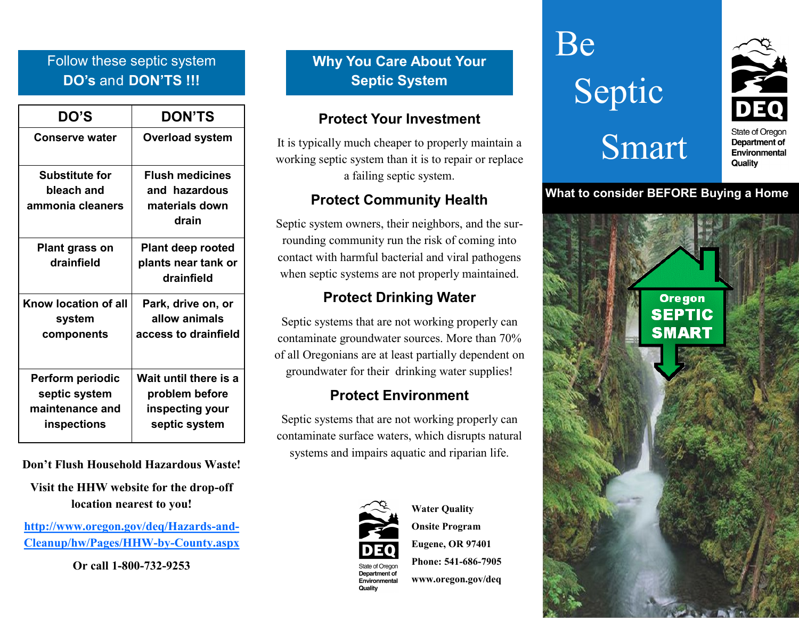# Follow these septic system **DO's** and **DON'TS !!!**

| <b>DO'S</b>                                                         | <b>DON'TS</b>                                                               |
|---------------------------------------------------------------------|-----------------------------------------------------------------------------|
| <b>Conserve water</b>                                               | <b>Overload system</b>                                                      |
| <b>Substitute for</b><br>bleach and<br>ammonia cleaners             | <b>Flush medicines</b><br>and hazardous<br>materials down<br>drain          |
| <b>Plant grass on</b><br>drainfield                                 | <b>Plant deep rooted</b><br>plants near tank or<br>drainfield               |
| Know location of all<br>system<br>components                        | Park, drive on, or<br>allow animals<br>access to drainfield                 |
| Perform periodic<br>septic system<br>maintenance and<br>inspections | Wait until there is a<br>problem before<br>inspecting your<br>septic system |

**Don't Flush Household Hazardous Waste!**

**Visit the HHW website for the drop-off location nearest to you!**

**[http://www.oregon.gov/deq/Hazards](http://www.oregon.gov/deq/Hazards-and-Cleanup/hw/Pages/HHW-by-County.aspx)-and-[Cleanup/hw/Pages/HHW](http://www.oregon.gov/deq/Hazards-and-Cleanup/hw/Pages/HHW-by-County.aspx)-by-County.aspx**

**Or call 1-800-732-9253**

**Why You Care About Your Septic System**

## **Protect Your Investment**

It is typically much cheaper to properly maintain a working septic system than it is to repair or replace a failing septic system.

## **Protect Community Health**

Septic system owners, their neighbors, and the surrounding community run the risk of coming into contact with harmful bacterial and viral pathogens when septic systems are not properly maintained.

# **Protect Drinking Water**

Septic systems that are not working properly can contaminate groundwater sources. More than 70% of all Oregonians are at least partially dependent on groundwater for their drinking water supplies!

# **Protect Environment**

Septic systems that are not working properly can contaminate surface waters, which disrupts natural systems and impairs aquatic and riparian life.



Environmental Quality

**Water Quality Onsite Program Eugene, OR 97401 Phone: 541-686-7905 www.oregon.gov/deq**





Department of Environmental Quality

## **What to consider BEFORE Buying a Home**